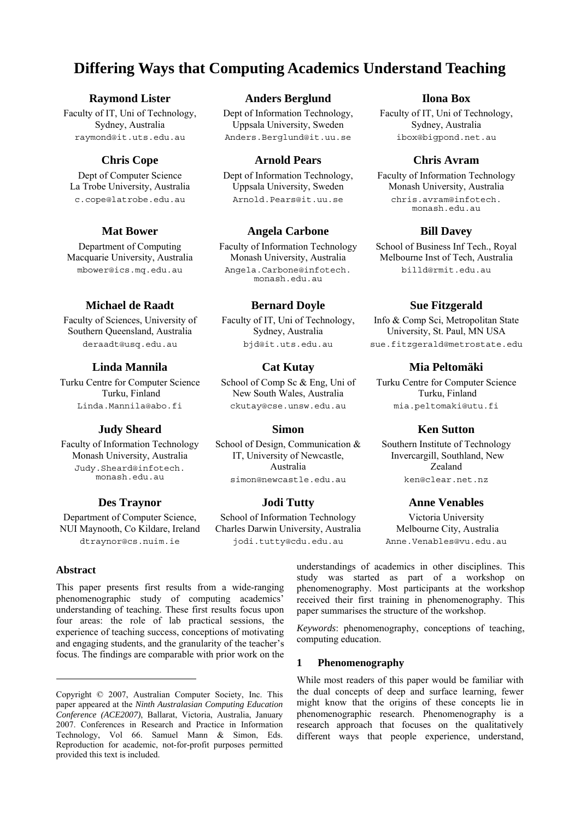# **Differing Ways that Computing Academics Understand Teaching**

### **Raymond Lister**

Faculty of IT, Uni of Technology, Sydney, Australia raymond@it.uts.edu.au

# **Chris Cope**

Dept of Computer Science La Trobe University, Australia c.cope@latrobe.edu.au

# **Mat Bower**

Department of Computing Macquarie University, Australia mbower@ics.mq.edu.au

### **Michael de Raadt**

Faculty of Sciences, University of Southern Queensland, Australia deraadt@usq.edu.au

### **Linda Mannila**

Turku Centre for Computer Science Turku, Finland Linda.Mannila@abo.fi

#### **Judy Sheard**

Faculty of Information Technology Monash University, Australia Judy.Sheard@infotech. monash.edu.au

#### **Des Traynor**

Department of Computer Science, NUI Maynooth, Co Kildare, Ireland dtraynor@cs.nuim.ie

### **Abstract**.

l

This paper presents first results from a wide-ranging phenomenographic study of computing academics' understanding of teaching. These first results focus upon four areas: the role of lab practical sessions, the experience of teaching success, conceptions of motivating and engaging students, and the granularity of the teacher's focus. The findings are comparable with prior work on the

### **Anders Berglund**

Dept of Information Technology, Uppsala University, Sweden Anders.Berglund@it.uu.se

### **Arnold Pears**

Dept of Information Technology, Uppsala University, Sweden Arnold.Pears@it.uu.se

#### **Angela Carbone**

Faculty of Information Technology Monash University, Australia Angela.Carbone@infotech. monash.edu.au

### **Bernard Doyle**

Faculty of IT, Uni of Technology, Sydney, Australia bjd@it.uts.edu.au

### **Cat Kutay**

School of Comp Sc & Eng, Uni of New South Wales, Australia ckutay@cse.unsw.edu.au

#### **Simon**

School of Design, Communication & IT, University of Newcastle, Australia simon@newcastle.edu.au

#### **Jodi Tutty**

School of Information Technology Charles Darwin University, Australia jodi.tutty@cdu.edu.au

**Ilona Box** 

Faculty of IT, Uni of Technology, Sydney, Australia ibox@bigpond.net.au

### **Chris Avram**

Faculty of Information Technology Monash University, Australia chris.avram@infotech. monash.edu.au

#### **Bill Davey**

School of Business Inf Tech., Royal Melbourne Inst of Tech, Australia billd@rmit.edu.au

#### **Sue Fitzgerald**

Info & Comp Sci, Metropolitan State University, St. Paul, MN USA sue.fitzgerald@metrostate.edu

### **Mia Peltomäki**

Turku Centre for Computer Science Turku, Finland mia.peltomaki@utu.fi

#### **Ken Sutton**

Southern Institute of Technology Invercargill, Southland, New Zealand ken@clear.net.nz

#### **Anne Venables**

Victoria University Melbourne City, Australia Anne.Venables@vu.edu.au

understandings of academics in other disciplines. This study was started as part of a workshop on phenomenography. Most participants at the workshop received their first training in phenomenography. This paper summarises the structure of the workshop.

*Keywords*: phenomenography, conceptions of teaching, computing education.

#### **1 Phenomenography**

While most readers of this paper would be familiar with the dual concepts of deep and surface learning, fewer might know that the origins of these concepts lie in phenomenographic research. Phenomenography is a research approach that focuses on the qualitatively different ways that people experience, understand,

Copyright © 2007, Australian Computer Society, Inc. This paper appeared at the *Ninth Australasian Computing Education Conference (ACE2007)*, Ballarat, Victoria, Australia, January 2007. Conferences in Research and Practice in Information Technology, Vol 66. Samuel Mann & Simon, Eds. Reproduction for academic, not-for-profit purposes permitted provided this text is included.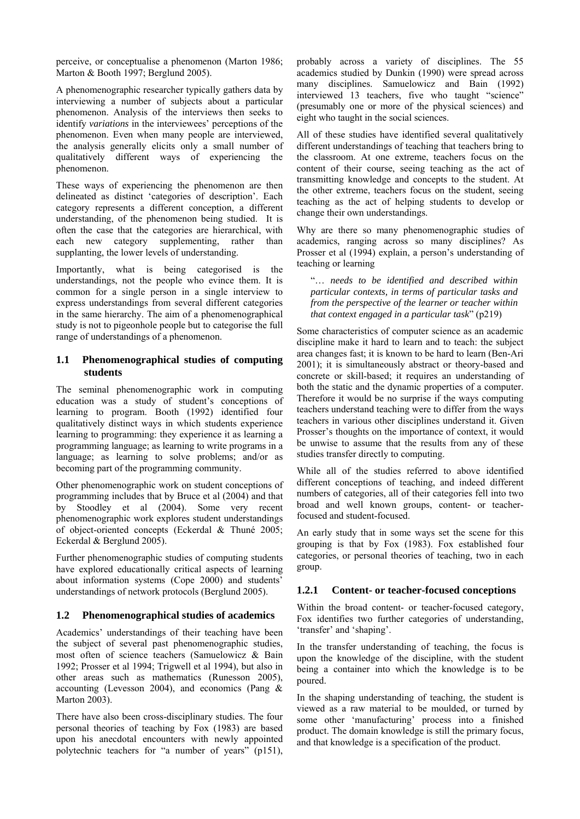perceive, or conceptualise a phenomenon (Marton 1986; Marton & Booth 1997; Berglund 2005).

A phenomenographic researcher typically gathers data by interviewing a number of subjects about a particular phenomenon. Analysis of the interviews then seeks to identify *variations* in the interviewees' perceptions of the phenomenon. Even when many people are interviewed, the analysis generally elicits only a small number of qualitatively different ways of experiencing the phenomenon.

These ways of experiencing the phenomenon are then delineated as distinct 'categories of description'. Each category represents a different conception, a different understanding, of the phenomenon being studied. It is often the case that the categories are hierarchical, with each new category supplementing, rather than supplanting, the lower levels of understanding.

Importantly, what is being categorised is the understandings, not the people who evince them. It is common for a single person in a single interview to express understandings from several different categories in the same hierarchy. The aim of a phenomenographical study is not to pigeonhole people but to categorise the full range of understandings of a phenomenon.

#### **1.1 Phenomenographical studies of computing students**

The seminal phenomenographic work in computing education was a study of student's conceptions of learning to program. Booth (1992) identified four qualitatively distinct ways in which students experience learning to programming: they experience it as learning a programming language; as learning to write programs in a language; as learning to solve problems; and/or as becoming part of the programming community.

Other phenomenographic work on student conceptions of programming includes that by Bruce et al (2004) and that by Stoodley et al (2004). Some very recent phenomenographic work explores student understandings of object-oriented concepts (Eckerdal & Thuné 2005; Eckerdal & Berglund 2005).

Further phenomenographic studies of computing students have explored educationally critical aspects of learning about information systems (Cope 2000) and students' understandings of network protocols (Berglund 2005).

#### **1.2 Phenomenographical studies of academics**

Academics' understandings of their teaching have been the subject of several past phenomenographic studies, most often of science teachers (Samuelowicz & Bain 1992; Prosser et al 1994; Trigwell et al 1994), but also in other areas such as mathematics (Runesson 2005), accounting (Levesson 2004), and economics (Pang & Marton 2003).

There have also been cross-disciplinary studies. The four personal theories of teaching by Fox (1983) are based upon his anecdotal encounters with newly appointed polytechnic teachers for "a number of years" (p151), probably across a variety of disciplines. The 55 academics studied by Dunkin (1990) were spread across many disciplines. Samuelowicz and Bain (1992) interviewed 13 teachers, five who taught "science" (presumably one or more of the physical sciences) and eight who taught in the social sciences.

All of these studies have identified several qualitatively different understandings of teaching that teachers bring to the classroom. At one extreme, teachers focus on the content of their course, seeing teaching as the act of transmitting knowledge and concepts to the student. At the other extreme, teachers focus on the student, seeing teaching as the act of helping students to develop or change their own understandings.

Why are there so many phenomenographic studies of academics, ranging across so many disciplines? As Prosser et al (1994) explain, a person's understanding of teaching or learning

"… *needs to be identified and described within particular contexts, in terms of particular tasks and from the perspective of the learner or teacher within that context engaged in a particular task*" (p219)

Some characteristics of computer science as an academic discipline make it hard to learn and to teach: the subject area changes fast; it is known to be hard to learn (Ben-Ari 2001); it is simultaneously abstract or theory-based and concrete or skill-based; it requires an understanding of both the static and the dynamic properties of a computer. Therefore it would be no surprise if the ways computing teachers understand teaching were to differ from the ways teachers in various other disciplines understand it. Given Prosser's thoughts on the importance of context, it would be unwise to assume that the results from any of these studies transfer directly to computing.

While all of the studies referred to above identified different conceptions of teaching, and indeed different numbers of categories, all of their categories fell into two broad and well known groups, content- or teacherfocused and student-focused.

An early study that in some ways set the scene for this grouping is that by Fox (1983). Fox established four categories, or personal theories of teaching, two in each group.

### **1.2.1 Content- or teacher-focused conceptions**

Within the broad content- or teacher-focused category, Fox identifies two further categories of understanding, 'transfer' and 'shaping'.

In the transfer understanding of teaching, the focus is upon the knowledge of the discipline, with the student being a container into which the knowledge is to be poured.

In the shaping understanding of teaching, the student is viewed as a raw material to be moulded, or turned by some other 'manufacturing' process into a finished product. The domain knowledge is still the primary focus, and that knowledge is a specification of the product.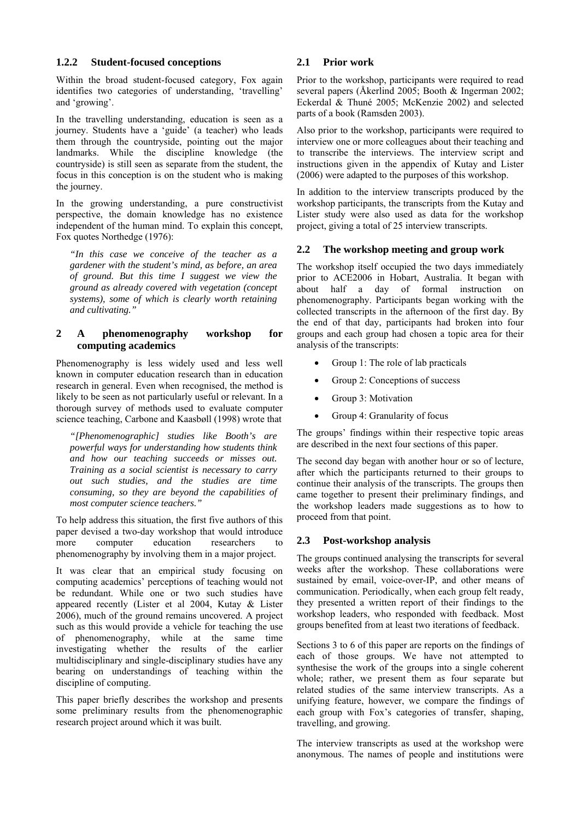#### **1.2.2 Student-focused conceptions**

Within the broad student-focused category, Fox again identifies two categories of understanding, 'travelling' and 'growing'.

In the travelling understanding, education is seen as a journey. Students have a 'guide' (a teacher) who leads them through the countryside, pointing out the major landmarks. While the discipline knowledge (the countryside) is still seen as separate from the student, the focus in this conception is on the student who is making the journey.

In the growing understanding, a pure constructivist perspective, the domain knowledge has no existence independent of the human mind. To explain this concept, Fox quotes Northedge (1976):

*"In this case we conceive of the teacher as a gardener with the student's mind, as before, an area of ground. But this time I suggest we view the ground as already covered with vegetation (concept systems), some of which is clearly worth retaining and cultivating."* 

### **2 A phenomenography workshop for computing academics**

Phenomenography is less widely used and less well known in computer education research than in education research in general. Even when recognised, the method is likely to be seen as not particularly useful or relevant. In a thorough survey of methods used to evaluate computer science teaching, Carbone and Kaasbøll (1998) wrote that

*"[Phenomenographic] studies like Booth's are powerful ways for understanding how students think and how our teaching succeeds or misses out. Training as a social scientist is necessary to carry out such studies, and the studies are time consuming, so they are beyond the capabilities of most computer science teachers."* 

To help address this situation, the first five authors of this paper devised a two-day workshop that would introduce more computer education researchers to phenomenography by involving them in a major project.

It was clear that an empirical study focusing on computing academics' perceptions of teaching would not be redundant. While one or two such studies have appeared recently (Lister et al 2004, Kutay & Lister 2006), much of the ground remains uncovered. A project such as this would provide a vehicle for teaching the use of phenomenography, while at the same time investigating whether the results of the earlier multidisciplinary and single-disciplinary studies have any bearing on understandings of teaching within the discipline of computing.

This paper briefly describes the workshop and presents some preliminary results from the phenomenographic research project around which it was built.

### **2.1 Prior work**

Prior to the workshop, participants were required to read several papers (Åkerlind 2005; Booth & Ingerman 2002; Eckerdal & Thuné 2005; McKenzie 2002) and selected parts of a book (Ramsden 2003).

Also prior to the workshop, participants were required to interview one or more colleagues about their teaching and to transcribe the interviews. The interview script and instructions given in the appendix of Kutay and Lister (2006) were adapted to the purposes of this workshop.

In addition to the interview transcripts produced by the workshop participants, the transcripts from the Kutay and Lister study were also used as data for the workshop project, giving a total of 25 interview transcripts.

# **2.2 The workshop meeting and group work**

The workshop itself occupied the two days immediately prior to ACE2006 in Hobart, Australia. It began with about half a day of formal instruction on phenomenography. Participants began working with the collected transcripts in the afternoon of the first day. By the end of that day, participants had broken into four groups and each group had chosen a topic area for their analysis of the transcripts:

- Group 1: The role of lab practicals
- Group 2: Conceptions of success
- Group 3: Motivation
- Group 4: Granularity of focus

The groups' findings within their respective topic areas are described in the next four sections of this paper.

The second day began with another hour or so of lecture, after which the participants returned to their groups to continue their analysis of the transcripts. The groups then came together to present their preliminary findings, and the workshop leaders made suggestions as to how to proceed from that point.

### **2.3 Post-workshop analysis**

The groups continued analysing the transcripts for several weeks after the workshop. These collaborations were sustained by email, voice-over-IP, and other means of communication. Periodically, when each group felt ready, they presented a written report of their findings to the workshop leaders, who responded with feedback. Most groups benefited from at least two iterations of feedback.

Sections 3 to 6 of this paper are reports on the findings of each of those groups. We have not attempted to synthesise the work of the groups into a single coherent whole; rather, we present them as four separate but related studies of the same interview transcripts. As a unifying feature, however, we compare the findings of each group with Fox's categories of transfer, shaping, travelling, and growing.

The interview transcripts as used at the workshop were anonymous. The names of people and institutions were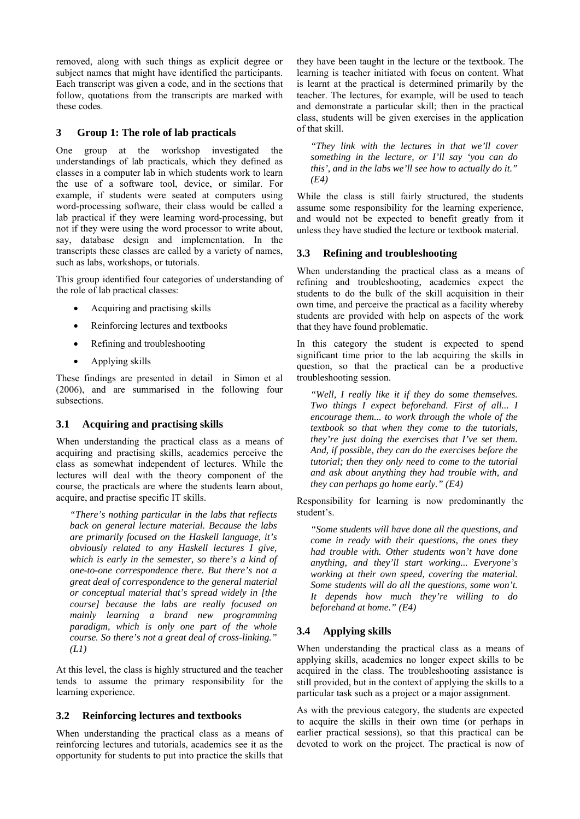removed, along with such things as explicit degree or subject names that might have identified the participants. Each transcript was given a code, and in the sections that follow, quotations from the transcripts are marked with these codes.

### **3 Group 1: The role of lab practicals**

One group at the workshop investigated the understandings of lab practicals, which they defined as classes in a computer lab in which students work to learn the use of a software tool, device, or similar. For example, if students were seated at computers using word-processing software, their class would be called a lab practical if they were learning word-processing, but not if they were using the word processor to write about, say, database design and implementation. In the transcripts these classes are called by a variety of names, such as labs, workshops, or tutorials.

This group identified four categories of understanding of the role of lab practical classes:

- Acquiring and practising skills
- Reinforcing lectures and textbooks
- Refining and troubleshooting
- Applying skills

These findings are presented in detail in Simon et al (2006), and are summarised in the following four subsections.

### **3.1 Acquiring and practising skills**

When understanding the practical class as a means of acquiring and practising skills, academics perceive the class as somewhat independent of lectures. While the lectures will deal with the theory component of the course, the practicals are where the students learn about, acquire, and practise specific IT skills.

*"There's nothing particular in the labs that reflects back on general lecture material. Because the labs are primarily focused on the Haskell language, it's obviously related to any Haskell lectures I give, which is early in the semester, so there's a kind of one-to-one correspondence there. But there's not a great deal of correspondence to the general material or conceptual material that's spread widely in [the course] because the labs are really focused on mainly learning a brand new programming paradigm, which is only one part of the whole course. So there's not a great deal of cross-linking." (L1)* 

At this level, the class is highly structured and the teacher tends to assume the primary responsibility for the learning experience.

### **3.2 Reinforcing lectures and textbooks**

When understanding the practical class as a means of reinforcing lectures and tutorials, academics see it as the opportunity for students to put into practice the skills that

they have been taught in the lecture or the textbook. The learning is teacher initiated with focus on content. What is learnt at the practical is determined primarily by the teacher. The lectures, for example, will be used to teach and demonstrate a particular skill; then in the practical class, students will be given exercises in the application of that skill.

*"They link with the lectures in that we'll cover something in the lecture, or I'll say 'you can do this', and in the labs we'll see how to actually do it." (E4)* 

While the class is still fairly structured, the students assume some responsibility for the learning experience, and would not be expected to benefit greatly from it unless they have studied the lecture or textbook material.

### **3.3 Refining and troubleshooting**

When understanding the practical class as a means of refining and troubleshooting, academics expect the students to do the bulk of the skill acquisition in their own time, and perceive the practical as a facility whereby students are provided with help on aspects of the work that they have found problematic.

In this category the student is expected to spend significant time prior to the lab acquiring the skills in question, so that the practical can be a productive troubleshooting session.

*"Well, I really like it if they do some themselves. Two things I expect beforehand. First of all... I encourage them... to work through the whole of the textbook so that when they come to the tutorials, they're just doing the exercises that I've set them. And, if possible, they can do the exercises before the tutorial; then they only need to come to the tutorial and ask about anything they had trouble with, and they can perhaps go home early." (E4)* 

Responsibility for learning is now predominantly the student's.

*"Some students will have done all the questions, and come in ready with their questions, the ones they had trouble with. Other students won't have done anything, and they'll start working... Everyone's working at their own speed, covering the material. Some students will do all the questions, some won't. It depends how much they're willing to do beforehand at home." (E4)* 

# **3.4 Applying skills**

When understanding the practical class as a means of applying skills, academics no longer expect skills to be acquired in the class. The troubleshooting assistance is still provided, but in the context of applying the skills to a particular task such as a project or a major assignment.

As with the previous category, the students are expected to acquire the skills in their own time (or perhaps in earlier practical sessions), so that this practical can be devoted to work on the project. The practical is now of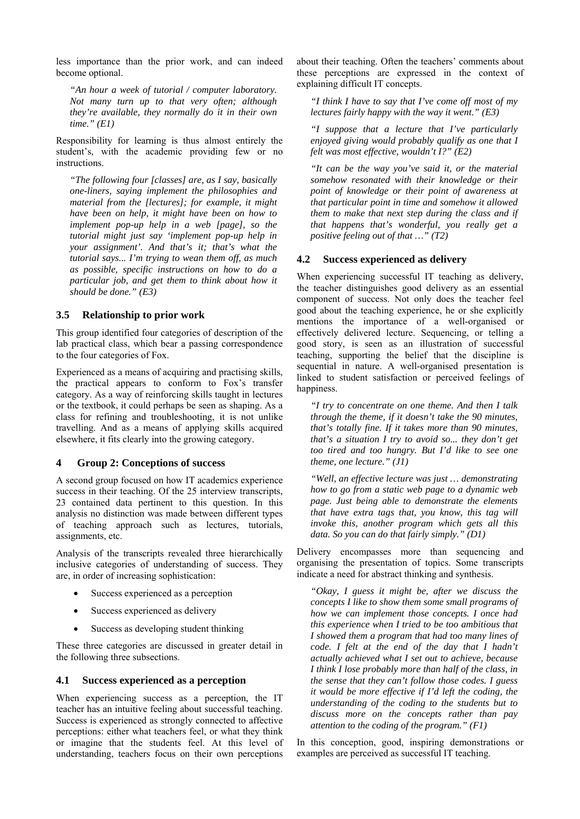less importance than the prior work, and can indeed become optional.

*"An hour a week of tutorial / computer laboratory. Not many turn up to that very often; although they're available, they normally do it in their own time." (E1)* 

Responsibility for learning is thus almost entirely the student's, with the academic providing few or no instructions.

*"The following four [classes] are, as I say, basically one-liners, saying implement the philosophies and material from the [lectures]; for example, it might have been on help, it might have been on how to implement pop-up help in a web [page], so the tutorial might just say 'implement pop-up help in your assignment'. And that's it; that's what the tutorial says... I'm trying to wean them off, as much as possible, specific instructions on how to do a particular job, and get them to think about how it should be done." (E3)* 

#### **3.5 Relationship to prior work**

This group identified four categories of description of the lab practical class, which bear a passing correspondence to the four categories of Fox.

Experienced as a means of acquiring and practising skills, the practical appears to conform to Fox's transfer category. As a way of reinforcing skills taught in lectures or the textbook, it could perhaps be seen as shaping. As a class for refining and troubleshooting, it is not unlike travelling. And as a means of applying skills acquired elsewhere, it fits clearly into the growing category.

#### **4 Group 2: Conceptions of success**

A second group focused on how IT academics experience success in their teaching. Of the 25 interview transcripts, 23 contained data pertinent to this question. In this analysis no distinction was made between different types of teaching approach such as lectures, tutorials, assignments, etc.

Analysis of the transcripts revealed three hierarchically inclusive categories of understanding of success. They are, in order of increasing sophistication:

- Success experienced as a perception
- Success experienced as delivery
- Success as developing student thinking

These three categories are discussed in greater detail in the following three subsections.

#### **4.1 Success experienced as a perception**

When experiencing success as a perception, the IT teacher has an intuitive feeling about successful teaching. Success is experienced as strongly connected to affective perceptions: either what teachers feel, or what they think or imagine that the students feel. At this level of understanding, teachers focus on their own perceptions

about their teaching. Often the teachers' comments about these perceptions are expressed in the context of explaining difficult IT concepts.

*"I think I have to say that I've come off most of my lectures fairly happy with the way it went." (E3)* 

*"I suppose that a lecture that I've particularly enjoyed giving would probably qualify as one that I felt was most effective, wouldn't I?" (E2)* 

*"It can be the way you've said it, or the material somehow resonated with their knowledge or their point of knowledge or their point of awareness at that particular point in time and somehow it allowed them to make that next step during the class and if that happens that's wonderful, you really get a positive feeling out of that …" (T2)* 

#### **4.2 Success experienced as delivery**

When experiencing successful IT teaching as delivery, the teacher distinguishes good delivery as an essential component of success. Not only does the teacher feel good about the teaching experience, he or she explicitly mentions the importance of a well-organised or effectively delivered lecture. Sequencing, or telling a good story, is seen as an illustration of successful teaching, supporting the belief that the discipline is sequential in nature. A well-organised presentation is linked to student satisfaction or perceived feelings of happiness.

*"I try to concentrate on one theme. And then I talk through the theme, if it doesn't take the 90 minutes, that's totally fine. If it takes more than 90 minutes, that's a situation I try to avoid so... they don't get too tired and too hungry. But I'd like to see one theme, one lecture." (J1)* 

*"Well, an effective lecture was just … demonstrating how to go from a static web page to a dynamic web page. Just being able to demonstrate the elements that have extra tags that, you know, this tag will invoke this, another program which gets all this data. So you can do that fairly simply." (D1)* 

Delivery encompasses more than sequencing and organising the presentation of topics. Some transcripts indicate a need for abstract thinking and synthesis.

*"Okay, I guess it might be, after we discuss the concepts I like to show them some small programs of how we can implement those concepts. I once had this experience when I tried to be too ambitious that I showed them a program that had too many lines of code. I felt at the end of the day that I hadn't actually achieved what I set out to achieve, because I think I lose probably more than half of the class, in the sense that they can't follow those codes. I guess it would be more effective if I'd left the coding, the understanding of the coding to the students but to discuss more on the concepts rather than pay attention to the coding of the program." (F1)* 

In this conception, good, inspiring demonstrations or examples are perceived as successful IT teaching.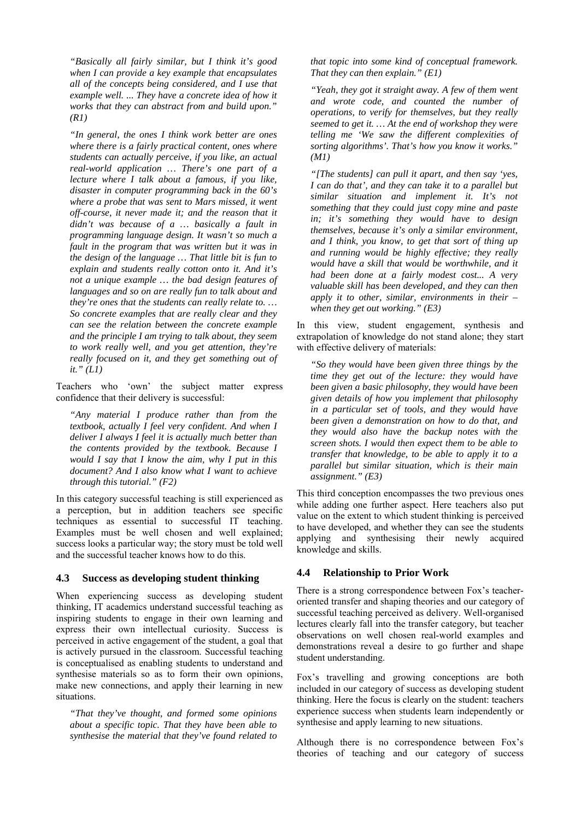*"Basically all fairly similar, but I think it's good when I can provide a key example that encapsulates all of the concepts being considered, and I use that example well. ... They have a concrete idea of how it works that they can abstract from and build upon." (R1)* 

*"In general, the ones I think work better are ones where there is a fairly practical content, ones where students can actually perceive, if you like, an actual real-world application … There's one part of a lecture where I talk about a famous, if you like, disaster in computer programming back in the 60's where a probe that was sent to Mars missed, it went off-course, it never made it; and the reason that it didn't was because of a … basically a fault in programming language design. It wasn't so much a fault in the program that was written but it was in the design of the language … That little bit is fun to explain and students really cotton onto it. And it's not a unique example … the bad design features of languages and so on are really fun to talk about and they're ones that the students can really relate to. … So concrete examples that are really clear and they can see the relation between the concrete example and the principle I am trying to talk about, they seem to work really well, and you get attention, they're really focused on it, and they get something out of it." (L1)* 

Teachers who 'own' the subject matter express confidence that their delivery is successful:

*"Any material I produce rather than from the textbook, actually I feel very confident. And when I deliver I always I feel it is actually much better than the contents provided by the textbook. Because I would I say that I know the aim, why I put in this document? And I also know what I want to achieve through this tutorial." (F2)* 

In this category successful teaching is still experienced as a perception, but in addition teachers see specific techniques as essential to successful IT teaching. Examples must be well chosen and well explained; success looks a particular way; the story must be told well and the successful teacher knows how to do this.

#### **4.3 Success as developing student thinking**

When experiencing success as developing student thinking, IT academics understand successful teaching as inspiring students to engage in their own learning and express their own intellectual curiosity. Success is perceived in active engagement of the student, a goal that is actively pursued in the classroom. Successful teaching is conceptualised as enabling students to understand and synthesise materials so as to form their own opinions, make new connections, and apply their learning in new situations.

*"That they've thought, and formed some opinions about a specific topic. That they have been able to synthesise the material that they've found related to*  *that topic into some kind of conceptual framework. That they can then explain." (E1)* 

*"Yeah, they got it straight away. A few of them went and wrote code, and counted the number of operations, to verify for themselves, but they really seemed to get it. … At the end of workshop they were telling me 'We saw the different complexities of sorting algorithms'. That's how you know it works." (M1)* 

*"[The students] can pull it apart, and then say 'yes, I can do that', and they can take it to a parallel but similar situation and implement it. It's not something that they could just copy mine and paste in; it's something they would have to design themselves, because it's only a similar environment, and I think, you know, to get that sort of thing up and running would be highly effective; they really would have a skill that would be worthwhile, and it had been done at a fairly modest cost... A very valuable skill has been developed, and they can then apply it to other, similar, environments in their – when they get out working." (E3)* 

In this view, student engagement, synthesis and extrapolation of knowledge do not stand alone; they start with effective delivery of materials:

*"So they would have been given three things by the time they get out of the lecture: they would have been given a basic philosophy, they would have been given details of how you implement that philosophy in a particular set of tools, and they would have been given a demonstration on how to do that, and they would also have the backup notes with the screen shots. I would then expect them to be able to transfer that knowledge, to be able to apply it to a parallel but similar situation, which is their main assignment." (E3)* 

This third conception encompasses the two previous ones while adding one further aspect. Here teachers also put value on the extent to which student thinking is perceived to have developed, and whether they can see the students applying and synthesising their newly acquired knowledge and skills.

#### **4.4 Relationship to Prior Work**

There is a strong correspondence between Fox's teacheroriented transfer and shaping theories and our category of successful teaching perceived as delivery. Well-organised lectures clearly fall into the transfer category, but teacher observations on well chosen real-world examples and demonstrations reveal a desire to go further and shape student understanding.

Fox's travelling and growing conceptions are both included in our category of success as developing student thinking. Here the focus is clearly on the student: teachers experience success when students learn independently or synthesise and apply learning to new situations.

Although there is no correspondence between Fox's theories of teaching and our category of success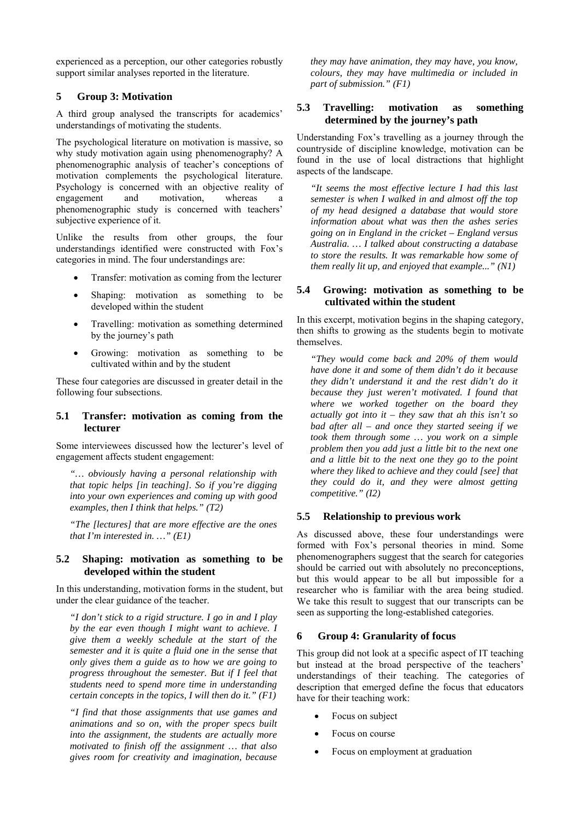experienced as a perception, our other categories robustly support similar analyses reported in the literature.

#### **5 Group 3: Motivation**

A third group analysed the transcripts for academics' understandings of motivating the students.

The psychological literature on motivation is massive, so why study motivation again using phenomenography? A phenomenographic analysis of teacher's conceptions of motivation complements the psychological literature. Psychology is concerned with an objective reality of engagement and motivation whereas a engagement and motivation, whereas a phenomenographic study is concerned with teachers' subjective experience of it.

Unlike the results from other groups, the four understandings identified were constructed with Fox's categories in mind. The four understandings are:

- Transfer: motivation as coming from the lecturer
- Shaping: motivation as something to be developed within the student
- Travelling: motivation as something determined by the journey's path
- Growing: motivation as something to be cultivated within and by the student

These four categories are discussed in greater detail in the following four subsections.

#### **5.1 Transfer: motivation as coming from the lecturer**

Some interviewees discussed how the lecturer's level of engagement affects student engagement:

*"… obviously having a personal relationship with that topic helps [in teaching]. So if you're digging into your own experiences and coming up with good examples, then I think that helps." (T2)* 

*"The [lectures] that are more effective are the ones that I'm interested in. …" (E1)* 

#### **5.2 Shaping: motivation as something to be developed within the student**

In this understanding, motivation forms in the student, but under the clear guidance of the teacher.

*"I don't stick to a rigid structure. I go in and I play by the ear even though I might want to achieve. I give them a weekly schedule at the start of the semester and it is quite a fluid one in the sense that only gives them a guide as to how we are going to progress throughout the semester. But if I feel that students need to spend more time in understanding certain concepts in the topics, I will then do it." (F1)* 

*"I find that those assignments that use games and animations and so on, with the proper specs built into the assignment, the students are actually more motivated to finish off the assignment … that also gives room for creativity and imagination, because* 

*they may have animation, they may have, you know, colours, they may have multimedia or included in part of submission." (F1)*

### **5.3 Travelling: motivation as something determined by the journey's path**

Understanding Fox's travelling as a journey through the countryside of discipline knowledge, motivation can be found in the use of local distractions that highlight aspects of the landscape.

*"It seems the most effective lecture I had this last semester is when I walked in and almost off the top of my head designed a database that would store information about what was then the ashes series going on in England in the cricket – England versus Australia. … I talked about constructing a database to store the results. It was remarkable how some of them really lit up, and enjoyed that example..." (N1)* 

#### **5.4 Growing: motivation as something to be cultivated within the student**

In this excerpt, motivation begins in the shaping category, then shifts to growing as the students begin to motivate themselves.

*"They would come back and 20% of them would have done it and some of them didn't do it because they didn't understand it and the rest didn't do it because they just weren't motivated. I found that where we worked together on the board they actually got into it – they saw that ah this isn't so bad after all – and once they started seeing if we took them through some … you work on a simple problem then you add just a little bit to the next one and a little bit to the next one they go to the point where they liked to achieve and they could [see] that they could do it, and they were almost getting competitive." (I2)* 

### **5.5 Relationship to previous work**

As discussed above, these four understandings were formed with Fox's personal theories in mind. Some phenomenographers suggest that the search for categories should be carried out with absolutely no preconceptions, but this would appear to be all but impossible for a researcher who is familiar with the area being studied. We take this result to suggest that our transcripts can be seen as supporting the long-established categories.

#### **6 Group 4: Granularity of focus**

This group did not look at a specific aspect of IT teaching but instead at the broad perspective of the teachers' understandings of their teaching. The categories of description that emerged define the focus that educators have for their teaching work:

- Focus on subject
- Focus on course
- Focus on employment at graduation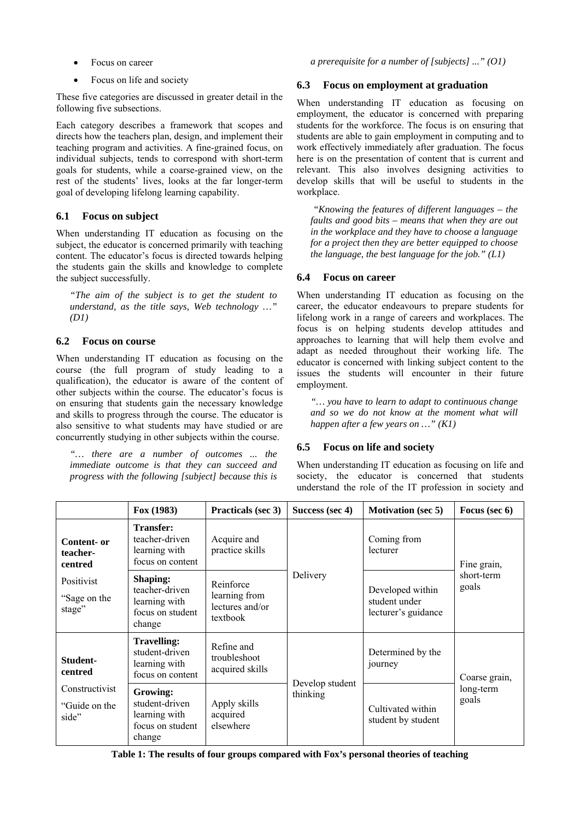• Focus on career

• Focus on life and society

These five categories are discussed in greater detail in the following five subsections.

Each category describes a framework that scopes and directs how the teachers plan, design, and implement their teaching program and activities. A fine-grained focus, on individual subjects, tends to correspond with short-term goals for students, while a coarse-grained view, on the rest of the students' lives, looks at the far longer-term goal of developing lifelong learning capability.

# **6.1 Focus on subject**

When understanding IT education as focusing on the subject, the educator is concerned primarily with teaching content. The educator's focus is directed towards helping the students gain the skills and knowledge to complete the subject successfully.

*"The aim of the subject is to get the student to understand, as the title says, Web technology …" (D1)*

# **6.2 Focus on course**

When understanding IT education as focusing on the course (the full program of study leading to a qualification), the educator is aware of the content of other subjects within the course. The educator's focus is on ensuring that students gain the necessary knowledge and skills to progress through the course. The educator is also sensitive to what students may have studied or are concurrently studying in other subjects within the course.

*"… there are a number of outcomes ... the immediate outcome is that they can succeed and progress with the following [subject] because this is*  *a prerequisite for a number of [subjects] ..." (O1)* 

### **6.3 Focus on employment at graduation**

When understanding IT education as focusing on employment, the educator is concerned with preparing students for the workforce. The focus is on ensuring that students are able to gain employment in computing and to work effectively immediately after graduation. The focus here is on the presentation of content that is current and relevant. This also involves designing activities to develop skills that will be useful to students in the workplace.

 *"Knowing the features of different languages – the faults and good bits – means that when they are out in the workplace and they have to choose a language for a project then they are better equipped to choose the language, the best language for the job." (L1)* 

# **6.4 Focus on career**

When understanding IT education as focusing on the career, the educator endeavours to prepare students for lifelong work in a range of careers and workplaces. The focus is on helping students develop attitudes and approaches to learning that will help them evolve and adapt as needed throughout their working life. The educator is concerned with linking subject content to the issues the students will encounter in their future employment.

*"… you have to learn to adapt to continuous change and so we do not know at the moment what will happen after a few years on …" (K1)* 

# **6.5 Focus on life and society**

When understanding IT education as focusing on life and society, the educator is concerned that students understand the role of the IT profession in society and

|                                                                 | Fox(1983)                                                                        | Practicals (sec 3)                                        | Success (sec 4)             | <b>Motivation (sec 5)</b>                                | Focus (sec 6)                       |
|-----------------------------------------------------------------|----------------------------------------------------------------------------------|-----------------------------------------------------------|-----------------------------|----------------------------------------------------------|-------------------------------------|
| Content- or<br>teacher-<br>centred                              | <b>Transfer:</b><br>teacher-driven<br>learning with<br>focus on content          | Acquire and<br>practice skills                            | Delivery                    | Coming from<br>lecturer                                  | Fine grain,<br>short-term<br>goals  |
| Positivist<br>"Sage on the<br>stage"                            | <b>Shaping:</b><br>teacher-driven<br>learning with<br>focus on student<br>change | Reinforce<br>learning from<br>lectures and/or<br>textbook |                             | Developed within<br>student under<br>lecturer's guidance |                                     |
| Student-<br>centred<br>Constructivist<br>"Guide on the<br>side" | Travelling:<br>student-driven<br>learning with<br>focus on content               | Refine and<br>troubleshoot<br>acquired skills             | Develop student<br>thinking | Determined by the<br>journey                             | Coarse grain,<br>long-term<br>goals |
|                                                                 | Growing:<br>student-driven<br>learning with<br>focus on student<br>change        | Apply skills<br>acquired<br>elsewhere                     |                             | Cultivated within<br>student by student                  |                                     |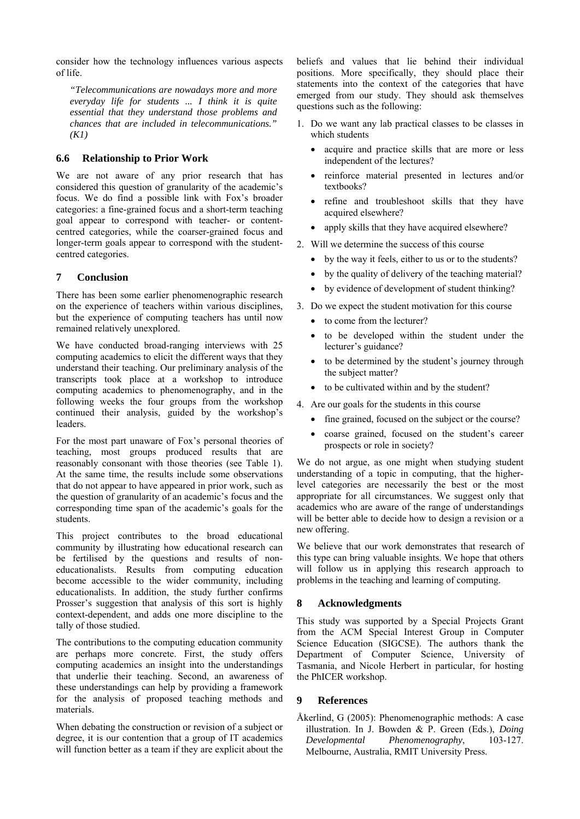consider how the technology influences various aspects of life.

*"Telecommunications are nowadays more and more everyday life for students ... I think it is quite essential that they understand those problems and chances that are included in telecommunications." (K1)* 

### **6.6 Relationship to Prior Work**

We are not aware of any prior research that has considered this question of granularity of the academic's focus. We do find a possible link with Fox's broader categories: a fine-grained focus and a short-term teaching goal appear to correspond with teacher- or contentcentred categories, while the coarser-grained focus and longer-term goals appear to correspond with the studentcentred categories.

### **7 Conclusion**

There has been some earlier phenomenographic research on the experience of teachers within various disciplines, but the experience of computing teachers has until now remained relatively unexplored.

We have conducted broad-ranging interviews with 25 computing academics to elicit the different ways that they understand their teaching. Our preliminary analysis of the transcripts took place at a workshop to introduce computing academics to phenomenography, and in the following weeks the four groups from the workshop continued their analysis, guided by the workshop's leaders.

For the most part unaware of Fox's personal theories of teaching, most groups produced results that are reasonably consonant with those theories (see Table 1). At the same time, the results include some observations that do not appear to have appeared in prior work, such as the question of granularity of an academic's focus and the corresponding time span of the academic's goals for the students.

This project contributes to the broad educational community by illustrating how educational research can be fertilised by the questions and results of noneducationalists. Results from computing education become accessible to the wider community, including educationalists. In addition, the study further confirms Prosser's suggestion that analysis of this sort is highly context-dependent, and adds one more discipline to the tally of those studied.

The contributions to the computing education community are perhaps more concrete. First, the study offers computing academics an insight into the understandings that underlie their teaching. Second, an awareness of these understandings can help by providing a framework for the analysis of proposed teaching methods and materials.

When debating the construction or revision of a subject or degree, it is our contention that a group of IT academics will function better as a team if they are explicit about the beliefs and values that lie behind their individual positions. More specifically, they should place their statements into the context of the categories that have emerged from our study. They should ask themselves questions such as the following:

- 1. Do we want any lab practical classes to be classes in which students
	- acquire and practice skills that are more or less independent of the lectures?
	- reinforce material presented in lectures and/or textbooks?
	- refine and troubleshoot skills that they have acquired elsewhere?
	- apply skills that they have acquired elsewhere?
- 2. Will we determine the success of this course
	- by the way it feels, either to us or to the students?
	- by the quality of delivery of the teaching material?
	- by evidence of development of student thinking?
- 3. Do we expect the student motivation for this course
	- to come from the lecturer?
	- to be developed within the student under the lecturer's guidance?
	- to be determined by the student's journey through the subject matter?
	- to be cultivated within and by the student?
- 4. Are our goals for the students in this course
	- fine grained, focused on the subject or the course?
	- coarse grained, focused on the student's career prospects or role in society?

We do not argue, as one might when studying student understanding of a topic in computing, that the higherlevel categories are necessarily the best or the most appropriate for all circumstances. We suggest only that academics who are aware of the range of understandings will be better able to decide how to design a revision or a new offering.

We believe that our work demonstrates that research of this type can bring valuable insights. We hope that others will follow us in applying this research approach to problems in the teaching and learning of computing.

### **8 Acknowledgments**

This study was supported by a Special Projects Grant from the ACM Special Interest Group in Computer Science Education (SIGCSE). The authors thank the Department of Computer Science, University of Tasmania, and Nicole Herbert in particular, for hosting the PhICER workshop.

### **9 References**

Åkerlind, G (2005): Phenomenographic methods: A case illustration. In J. Bowden & P. Green (Eds.), *Doing Developmental Phenomenography*, 103-127. Melbourne, Australia, RMIT University Press.